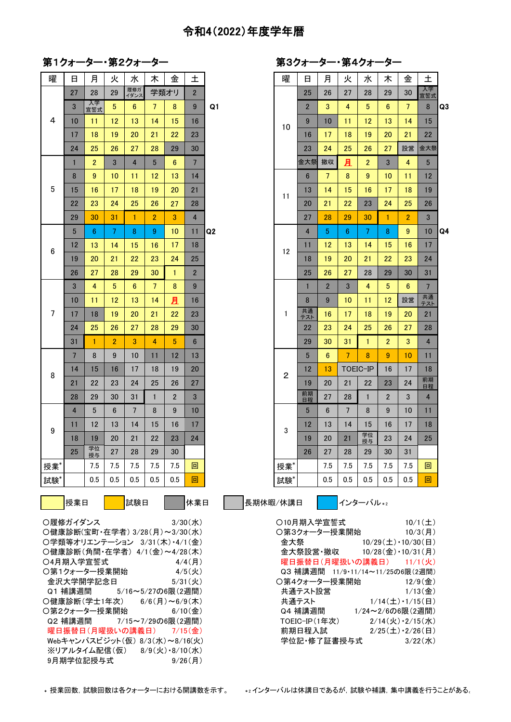## 令和4(2022)年度学年暦

## **第1クォーター・第2クォーター そんじょう インスタック 第3クォーター・第4ク**

| 曜                                                                          | 日               | 月              | 火              | 水                       | 木               | 金               | 土              |    | 曜              | 日              | 月               | 火              | 水               | 木              | 金              | 土               |
|----------------------------------------------------------------------------|-----------------|----------------|----------------|-------------------------|-----------------|-----------------|----------------|----|----------------|----------------|-----------------|----------------|-----------------|----------------|----------------|-----------------|
|                                                                            | 27              | 28             | 29             | 履修ガ<br>イダンス             |                 | 学類オリ            | $\overline{2}$ |    |                | 25             | 26              | 27             | 28              | 29             | 30             | 入学<br>宣誓式       |
|                                                                            | 3               | 入学<br>宣誓式      | 5              | $6\phantom{1}$          | $\overline{7}$  | 8               | 9              | Q1 |                | $\overline{2}$ | 3               | $\overline{4}$ | $5\phantom{.0}$ | $6\phantom{1}$ | $\overline{7}$ | 8               |
| 4                                                                          | 10              | 11             | 12             | 13                      | 14              | 15              | 16             |    | 10             | 9              | 10              | 11             | 12              | 13             | 14             | 15              |
|                                                                            | 17              | 18             | 19             | 20                      | 21              | 22              | 23             |    |                | 16             | 17              | 18             | 19              | 20             | 21             | 22              |
|                                                                            | 24              | 25             | 26             | 27                      | 28              | 29              | 30             |    |                | 23             | 24              | 25             | 26              | 27             | 設営             | 金大祭             |
|                                                                            | $\mathbf{1}$    | $\overline{2}$ | 3              | $\overline{\mathbf{4}}$ | $5\overline{)}$ | 6               | $\overline{7}$ |    |                | 金大祭            | 撤収              | 且              | $\overline{2}$  | $\mathbf{3}$   | 4              | $5\phantom{.}$  |
|                                                                            | 8               | 9              | 10             | 11                      | 12              | 13              | 14             |    |                | $6\phantom{1}$ | $7\overline{ }$ | 8              | 9               | 10             | 11             | 12              |
| $\overline{5}$                                                             | 15              | 16             | 17             | 18                      | 19              | 20              | 21             |    | 11             | 13             | 14              | 15             | 16              | 17             | 18             | 19              |
|                                                                            | 22              | 23             | 24             | 25                      | 26              | 27              | 28             |    |                | 20             | 21              | 22             | 23              | 24             | 25             | 26              |
|                                                                            | 29              | 30             | 31             | $\mathbf{1}$            | $\overline{2}$  | 3               | $\overline{4}$ |    |                | 27             | 28              | 29             | 30              | $\mathbf{1}$   | $\overline{2}$ | $\mathbf{3}$    |
|                                                                            | 5               | $6\phantom{1}$ | $\overline{7}$ | 8                       | 9               | 10              | 11             | Q2 |                | $\overline{4}$ | 5               | 6              | 7 <sup>1</sup>  | 8              | 9              | 10              |
| 6                                                                          | 12              | 13             | 14             | 15                      | 16              | 17              | 18             |    | 12             | 11             | 12              | 13             | 14              | 15             | 16             | 17              |
|                                                                            | 19              | 20             | 21             | 22                      | 23              | 24              | 25             |    |                | 18             | 19              | 20             | 21              | 22             | 23             | 24              |
|                                                                            | 26              | 27             | 28             | 29                      | 30              | $\mathbf{1}$    | 2 <sup>2</sup> |    |                | 25             | 26              | 27             | 28              | 29             | 30             | 31              |
|                                                                            | 3               | 4              | 5 <sup>5</sup> | $6\phantom{1}$          | $\overline{7}$  | 8               | 9              |    |                | 1              | $\overline{2}$  | $\mathbf{3}$   | $\overline{4}$  | 5              | $6\phantom{1}$ | $7\overline{ }$ |
|                                                                            | 10              | 11             | 12             | 13                      | 14              | 且               | 16             |    |                | 8              | 9               | 10             | 11              | 12             | 設営             | 共通<br>テスト       |
| 7                                                                          | 17              | 18             | 19             | 20                      | 21              | 22              | 23             |    | 1              | 共通<br>テスト      | 16              | 17             | 18              | 19             | 20             | 21              |
|                                                                            | 24              | 25             | 26             | 27                      | 28              | 29              | 30             |    |                | 22             | 23              | 24             | 25              | 26             | 27             | 28              |
|                                                                            | 31              | $\mathbf{1}$   | $\overline{2}$ | 3                       | $\overline{4}$  | $5\phantom{.0}$ | $6\phantom{1}$ |    |                | 29             | 30              | 31             | $\mathbf{1}$    | $\overline{2}$ | 3              | $\overline{4}$  |
|                                                                            | $7\overline{ }$ | 8              | 9              | 10                      | 11              | 12              | 13             |    |                | 5              | $6\phantom{1}$  | 7 <sup>1</sup> | 8               | 9              | 10             | 11              |
| 8                                                                          | 14              | 15             | 16             | 17                      | 18              | 19              | 20             |    | $\overline{c}$ | 12             | 13              | TOEIC-IP       |                 | 16             | 17             | 18              |
|                                                                            | 21              | 22             | 23             | 24                      | 25              | 26              | 27             |    |                | 19             | 20              | 21             | 22              | 23             | 24             | 前期<br>日程        |
|                                                                            | 28              | 29             | 30             | 31                      | $\mathbf{1}$    | $\overline{2}$  | $\mathbf{3}$   |    |                | 前期<br>日程       | 27              | 28             | $\mathbf{1}$    | $\overline{2}$ | 3              | $\overline{4}$  |
|                                                                            | $\overline{4}$  | 5              | $6\phantom{.}$ | $7\overline{ }$         | 8               | 9               | 10             |    |                | 5              | $6\phantom{1}$  | $\overline{7}$ | 8               | 9              | 10             | 11              |
| 9                                                                          | 11              | 12             | 13             | 14                      | 15              | 16              | 17             |    | 3              | 12             | 13              | 14             | 15              | 16             | 17             | 18              |
|                                                                            | 18              | 19             | 20             | 21                      | 22              | 23              | 24             |    |                | 19             | 20              | 21             | 学位<br>授与        | 23             | 24             | 25              |
|                                                                            | 25              | 学位<br>授与       | 27             | 28                      | 29              | 30              |                |    |                | 26             | 27              | 28             | 29              | 30             | 31             |                 |
| 授業                                                                         |                 | 7.5            | 7.5            | 7.5                     | 7.5             | 7.5             | 回              |    | 授業             |                | 7.5             | 7.5            | 7.5             | 7.5            | 7.5            | 回               |
| 試験*                                                                        |                 | 0.5            | 0.5            | 0.5                     | 0.5             | 0.5             | 回              |    | 試験*            |                | 0.5             | 0.5            | 0.5             | 0.5            | 0.5            | 回               |
|                                                                            | 授業日<br>試験日      |                |                |                         |                 |                 | 休業日            |    |                |                |                 |                |                 |                |                |                 |
| 長期休暇/休講日<br>インターバル*2<br>○履修ガイダンス<br>$3/30 ($ 水)<br>○10月期入学宣誓式<br>457 米田日もん |                 |                |                |                         |                 |                 |                |    |                |                |                 |                | $10/1(\pm)$     |                |                |                 |

|   | 第3クォーター・第4クォーター |  |  |
|---|-----------------|--|--|
| 曜 | 日月火水太           |  |  |

| 日              | 月              | 火              | 水                       | 木              | 金              | 土              |    | 曜              | 日              | 月               | 火              | 水              | 木              | 金               | 土              |                |
|----------------|----------------|----------------|-------------------------|----------------|----------------|----------------|----|----------------|----------------|-----------------|----------------|----------------|----------------|-----------------|----------------|----------------|
| 27             | 28             | 29             | 履修ガ<br>イダンス             | 学類オリ           |                | $\overline{2}$ |    |                | 25             | 26              | 27             | 28             | 29             | 30              | 入学<br>宣誓式      |                |
| $\mathbf{3}$   | 入学<br>宣誓式      | $\sqrt{5}$     | $6\phantom{1}$          | $\overline{7}$ | 8              | 9              | Q1 |                | $\overline{2}$ | 3               | 4              | 5              | 6              | $\overline{7}$  | 8              | Q <sub>3</sub> |
| 10             | 11             | 12             | 13                      | 14             | 15             | 16             |    | 10             | 9              | 10              | 11             | 12             | 13             | 14              | 15             |                |
| 17             | 18             | 19             | 20                      | 21             | 22             | 23             |    |                | 16             | 17              | 18             | 19             | 20             | 21              | 22             |                |
| 24             | 25             | 26             | 27                      | 28             | 29             | 30             |    |                | 23             | 24              | 25             | 26             | 27             | 設営              | 金大祭            |                |
| $\mathbf{1}$   | $\overline{2}$ | 3              | $\overline{\mathbf{4}}$ | 5              | 6              | $\overline{7}$ |    |                | 金大祭            | 撤収              | 且              | 2              | 3              | 4               | 5              |                |
| 8              | 9              | 10             | 11                      | 12             | 13             | 14             |    |                | $6\phantom{1}$ | $7\overline{ }$ | 8              | 9              | 10             | 11              | 12             |                |
| 15             | 16             | 17             | 18                      | 19             | 20             | 21             |    | 11             | 13             | 14              | 15             | 16             | 17             | 18              | 19             |                |
| 22             | 23             | 24             | 25                      | 26             | 27             | 28             |    |                | 20             | 21              | 22             | 23             | 24             | 25              | 26             |                |
| 29             | 30             | 31             | $\mathbf{1}$            | $\overline{2}$ | 3              | 4              |    |                | 27             | 28              | 29             | 30             | $\mathbf{1}$   | $\overline{2}$  | 3              |                |
| 5              | 6              | $\overline{7}$ | 8                       | 9              | 10             | 11             | Q2 |                | 4              | 5               | 6              | $\overline{7}$ | 8              | 9               | 10             | Q4             |
| 12             | 13             | 14             | 15                      | 16             | 17             | 18             |    | 12             | 11             | 12              | 13             | 14             | 15             | 16              | 17             |                |
| 19             | 20             | 21             | 22                      | 23             | 24             | 25             |    |                | 18             | 19              | 20             | 21             | 22             | 23              | 24             |                |
| 26             | 27             | 28             | 29                      | 30             | $\mathbf{1}$   | $\overline{2}$ |    |                | 25             | 26              | 27             | 28             | 29             | 30              | 31             |                |
| 3              | 4              | 5              | $6\phantom{1}6$         | 7              | 8              | 9              |    |                | $\mathbf{1}$   | $\overline{2}$  | 3              | 4              | 5              | $6\phantom{1}6$ | $\overline{7}$ |                |
| 10             | 11             | 12             | 13                      | 14             | 且              | 16             |    |                | 8              | 9               | 10             | 11             | 12             | 設営              | 共通<br>テスト      |                |
| 17             | 18             | 19             | 20                      | 21             | 22             | 23             |    | 1              | 共通<br>テスト      | 16              | 17             | 18             | 19             | 20              | 21             |                |
| 24             | 25             | 26             | 27                      | 28             | 29             | 30             |    |                | 22             | 23              | 24             | 25             | 26             | 27              | 28             |                |
| 31             | 1              | $\overline{2}$ | 3                       | 4              | 5              | $6\phantom{1}$ |    |                | 29             | 30              | 31             | $\mathbf{1}$   | $\overline{2}$ | 3               | $\overline{4}$ |                |
| $\overline{7}$ | 8              | 9              | 10                      | 11             | 12             | 13             |    |                | 5              | $6\phantom{1}$  | $\overline{7}$ | 8              | 9              | 10              | 11             |                |
| 14             | 15             | 16             | 17                      | 18             | 19             | 20             |    | $\overline{2}$ | 12             | 13              | TOEIC-IP       |                | 16             | 17              | 18             |                |
| 21             | 22             | 23             | 24                      | 25             | 26             | 27             |    |                | 19             | 20              | 21             | 22             | 23             | 24              | 前期<br>日程       |                |
| 28             | 29             | 30             | 31                      | $\mathbf{1}$   | $\overline{2}$ | 3              |    |                | 前期<br>日程       | 27              | 28             | $\mathbf{1}$   | $\overline{2}$ | 3               | $\overline{4}$ |                |
| $\overline{4}$ | 5              | $6\phantom{1}$ | $\overline{7}$          | 8              | 9              | 10             |    |                | 5              | $6\phantom{1}$  | $\overline{7}$ | 8              | 9              | 10              | 11             |                |
| 11             | 12             | 13             | 14                      | 15             | 16             | 17             |    | 3              | 12             | 13              | 14             | 15             | 16             | 17              | 18             |                |
| 18             | 19             | 20             | 21                      | 22             | 23             | 24             |    |                | 19             | 20              | 21             | 学位<br>授与       | 23             | 24              | 25             |                |
| 25             | 学位<br>授与       | 27             | 28                      | 29             | 30             |                |    |                | 26             | 27              | 28             | 29             | 30             | 31              |                |                |
|                | 7.5            | 7.5            | 7.5                     | 7.5            | 7.5            | 回              |    | 授業             |                | 7.5             | 7.5            | 7.5            | 7.5            | 7.5             | 回              |                |
|                | 0.5            | 0.5            | 0.5                     | 0.5            | 0.5            | 回              |    | 試験*            |                | 0.5             | 0.5            | 0.5            | 0.5            | 0.5             | 回              |                |
|                |                |                |                         |                |                |                |    |                |                |                 |                |                |                |                 |                |                |

〇健康診断(宝町・在学者) 3/28(月)~3/30(水)  $O$ 学類等オリエンテーション 3/31(木)·4/1(金)  $O$ 健康診断 $($ 角間·在学者)  $4/1$  $(4)$ ~ $4/28$  $($ 木 $)$  $O4$ 月期入学宣誓式  $4/4$ (月) ○第1クォーター授業開始 4/5(火) 金沢大学開学記念日 5/31(火) Q1 補講週間 5/16~5/27の6限(2週間) Q2 補講週間 7/15~7/29の6限(2週間) 曜日振替日(月曜扱いの講義日) 7/15(金) Webキャンパスビジット(仮) 8/3(水)~8/16(火) ※リアルタイム配信(仮) 8/9(火)・8/10(水) 9月期学位記授与式 9/26(月)

| ○履修ガイダンス<br>$3/30(\pi k)$      | ○10月期入学官誓式                       | 10/1(f)                       |
|--------------------------------|----------------------------------|-------------------------------|
| ○健康診断(宝町・在学者) 3/28(月)~3/30(水)  | ○第3クォーター授業開始                     | $10/3$ (月)                    |
| ○学類等オリエンテーション 3/31(木)・4/1(金)   | 金大祭                              | $10/29(\pm) \cdot 10/30(\pm)$ |
| ○健康診断(角間・在学者) 4/1(金)~4/28(木)   | 金大祭設営・撤収 10/28(金)・10/31(月)       |                               |
| ○4月期入学官誓式<br>$4/4$ (日)         | 曜日振替日(月曜扱いの講義日) 11/1(火)          |                               |
| ○第1クォーター授業開始<br>$4/5($ 火       | Q3 補講调間 11/9・11/14~11/25の6限(2週間) |                               |
| 金沢大学開学記念日<br>$5/31($ 火         | 〇第4クォーター授業開始                     | $12/9$ (金)                    |
| Q1 補講週間 5/16~5/27の6限(2週間)      | 共通テスト設営                          | $1/13$ (金)                    |
| ○健康診断(学士1年次) 6/6(月)~6/9(木)     | 共通テスト                            | $1/14(\pm) \cdot 1/15(\pm)$   |
| 〇第2クォーター授業開始<br>$6/10$ (金)     | Q4 補講週間                          | 1/24~2/6の6限(2週間)              |
| Q2 補講週間 ―― 7/15~7/29の6限(2週間)   | TOEIC-IP(1年次)                    | $2/14$ (火) $\cdot$ 2/15(水)    |
| 曜日振替日(月曜扱いの講義日) 7/15(金)        | 前期日程入試                           | $2/25(\pm) \cdot 2/26(\pm)$   |
| Webキャンパスビジット(仮) 8/3(水)~8/16(火) | 学位記·修了証書授与式                      | $3/22$ (水)                    |
|                                |                                  |                               |